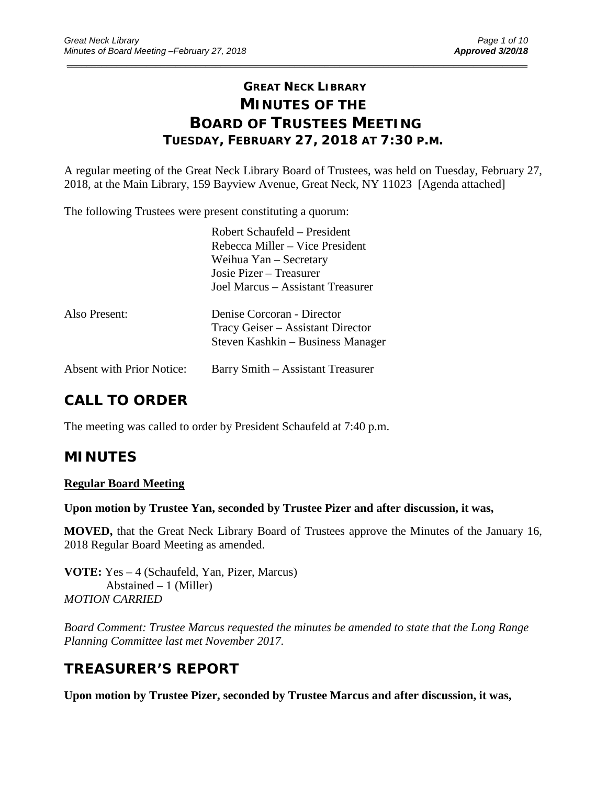# **GREAT NECK LIBRARY MINUTES OF THE BOARD OF TRUSTEES MEETING TUESDAY, FEBRUARY 27, 2018 AT 7:30 P.M.**

\_\_\_\_\_\_\_\_\_\_\_\_\_\_\_\_\_\_\_\_\_\_\_\_\_\_\_\_\_\_\_\_\_\_\_\_\_\_\_\_\_\_\_\_\_\_\_\_\_\_\_\_\_\_\_\_\_\_\_\_\_\_\_\_\_\_\_\_\_\_\_\_\_\_\_\_\_\_\_\_\_\_\_\_\_\_\_\_\_\_\_\_\_

A regular meeting of the Great Neck Library Board of Trustees, was held on Tuesday, February 27, 2018, at the Main Library, 159 Bayview Avenue, Great Neck, NY 11023 [Agenda attached]

The following Trustees were present constituting a quorum:

|                                  | Robert Schaufeld – President<br>Rebecca Miller – Vice President<br>Weihua Yan – Secretary<br>Josie Pizer – Treasurer<br>Joel Marcus – Assistant Treasurer |
|----------------------------------|-----------------------------------------------------------------------------------------------------------------------------------------------------------|
| Also Present:                    | Denise Corcoran - Director<br>Tracy Geiser – Assistant Director<br>Steven Kashkin – Business Manager                                                      |
| <b>Absent with Prior Notice:</b> | Barry Smith – Assistant Treasurer                                                                                                                         |

# **CALL TO ORDER**

The meeting was called to order by President Schaufeld at 7:40 p.m.

## **MINUTES**

#### **Regular Board Meeting**

**Upon motion by Trustee Yan, seconded by Trustee Pizer and after discussion, it was,**

**MOVED,** that the Great Neck Library Board of Trustees approve the Minutes of the January 16, 2018 Regular Board Meeting as amended.

**VOTE:** Yes – 4 (Schaufeld, Yan, Pizer, Marcus) Abstained  $-1$  (Miller) *MOTION CARRIED* 

*Board Comment: Trustee Marcus requested the minutes be amended to state that the Long Range Planning Committee last met November 2017.*

# **TREASURER'S REPORT**

**Upon motion by Trustee Pizer, seconded by Trustee Marcus and after discussion, it was,**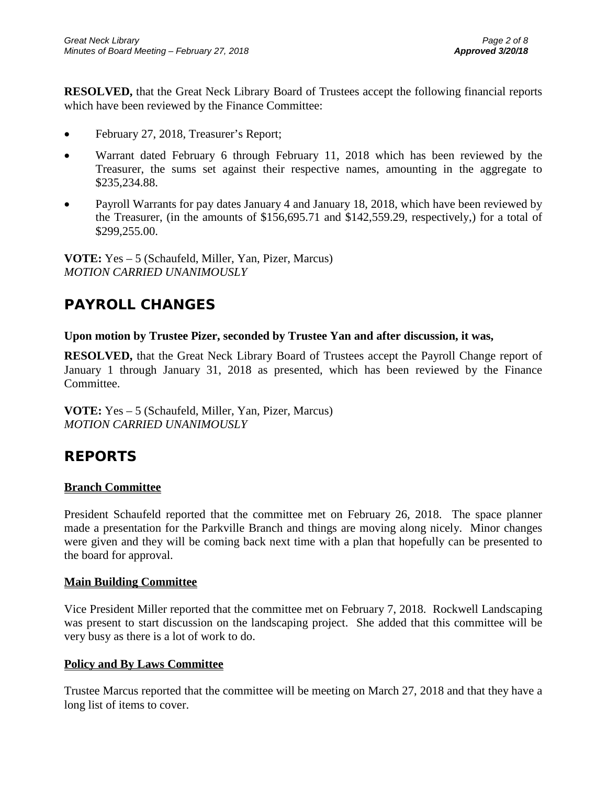**RESOLVED,** that the Great Neck Library Board of Trustees accept the following financial reports which have been reviewed by the Finance Committee:

- February 27, 2018, Treasurer's Report;
- Warrant dated February 6 through February 11, 2018 which has been reviewed by the Treasurer, the sums set against their respective names, amounting in the aggregate to \$235,234.88.
- Payroll Warrants for pay dates January 4 and January 18, 2018, which have been reviewed by the Treasurer, (in the amounts of \$156,695.71 and \$142,559.29, respectively,) for a total of \$299,255.00.

**VOTE:** Yes – 5 (Schaufeld, Miller, Yan, Pizer, Marcus) *MOTION CARRIED UNANIMOUSLY*

# **PAYROLL CHANGES**

### **Upon motion by Trustee Pizer, seconded by Trustee Yan and after discussion, it was,**

**RESOLVED,** that the Great Neck Library Board of Trustees accept the Payroll Change report of January 1 through January 31, 2018 as presented, which has been reviewed by the Finance Committee.

**VOTE:** Yes – 5 (Schaufeld, Miller, Yan, Pizer, Marcus) *MOTION CARRIED UNANIMOUSLY*

## **REPORTS**

## **Branch Committee**

President Schaufeld reported that the committee met on February 26, 2018. The space planner made a presentation for the Parkville Branch and things are moving along nicely. Minor changes were given and they will be coming back next time with a plan that hopefully can be presented to the board for approval.

#### **Main Building Committee**

Vice President Miller reported that the committee met on February 7, 2018. Rockwell Landscaping was present to start discussion on the landscaping project. She added that this committee will be very busy as there is a lot of work to do.

## **Policy and By Laws Committee**

Trustee Marcus reported that the committee will be meeting on March 27, 2018 and that they have a long list of items to cover.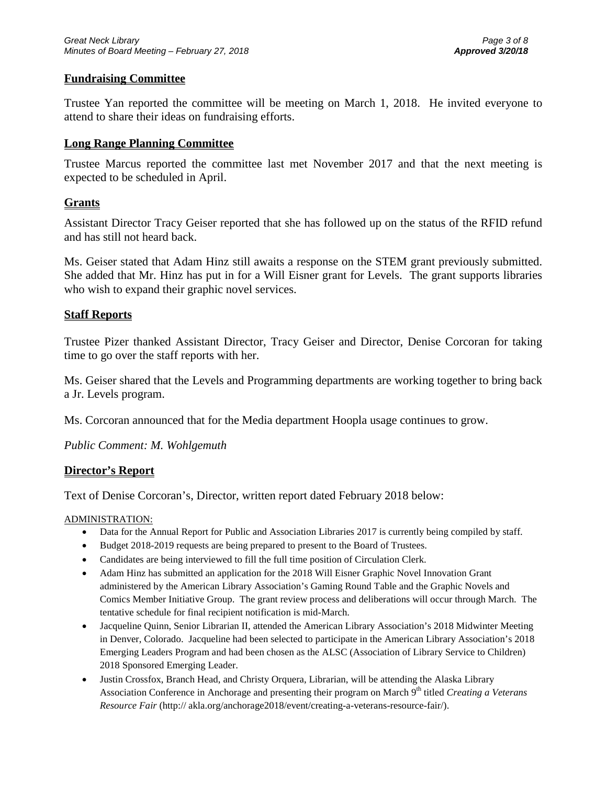### **Fundraising Committee**

Trustee Yan reported the committee will be meeting on March 1, 2018. He invited everyone to attend to share their ideas on fundraising efforts.

### **Long Range Planning Committee**

Trustee Marcus reported the committee last met November 2017 and that the next meeting is expected to be scheduled in April.

### **Grants**

Assistant Director Tracy Geiser reported that she has followed up on the status of the RFID refund and has still not heard back.

Ms. Geiser stated that Adam Hinz still awaits a response on the STEM grant previously submitted. She added that Mr. Hinz has put in for a Will Eisner grant for Levels. The grant supports libraries who wish to expand their graphic novel services.

### **Staff Reports**

Trustee Pizer thanked Assistant Director, Tracy Geiser and Director, Denise Corcoran for taking time to go over the staff reports with her.

Ms. Geiser shared that the Levels and Programming departments are working together to bring back a Jr. Levels program.

Ms. Corcoran announced that for the Media department Hoopla usage continues to grow.

*Public Comment: M. Wohlgemuth*

#### **Director's Report**

Text of Denise Corcoran's, Director, written report dated February 2018 below:

#### ADMINISTRATION:

- Data for the Annual Report for Public and Association Libraries 2017 is currently being compiled by staff.
- Budget 2018-2019 requests are being prepared to present to the Board of Trustees.
- Candidates are being interviewed to fill the full time position of Circulation Clerk.
- Adam Hinz has submitted an application for the 2018 Will Eisner Graphic Novel Innovation Grant administered by the American Library Association's Gaming Round Table and the Graphic Novels and Comics Member Initiative Group. The grant review process and deliberations will occur through March. The tentative schedule for final recipient notification is mid-March.
- Jacqueline Quinn, Senior Librarian II, attended the American Library Association's 2018 Midwinter Meeting in Denver, Colorado. Jacqueline had been selected to participate in the American Library Association's 2018 Emerging Leaders Program and had been chosen as the ALSC (Association of Library Service to Children) 2018 Sponsored Emerging Leader.
- Justin Crossfox, Branch Head, and Christy Orquera, Librarian, will be attending the Alaska Library Association Conference in Anchorage and presenting their program on March 9<sup>th</sup> titled *Creating a Veterans Resource Fair* (http:// akla.org/anchorage2018/event/creating-a-veterans-resource-fair/).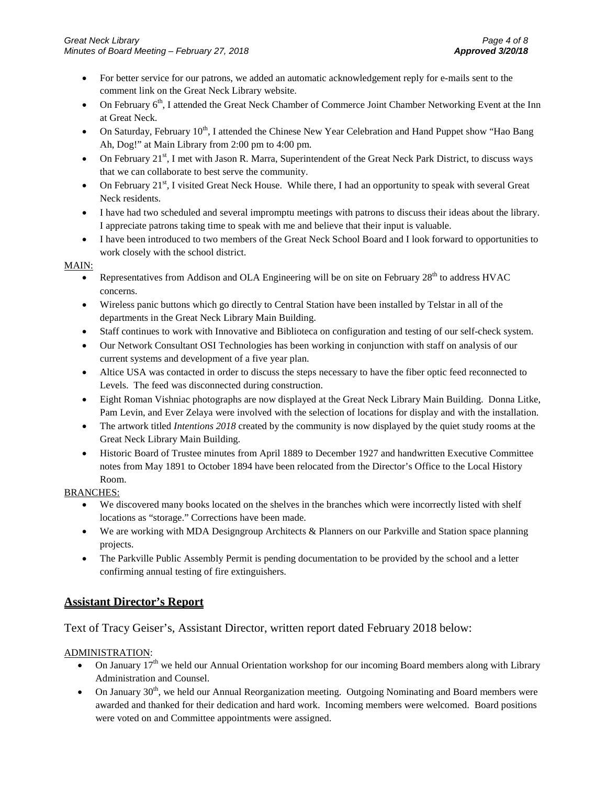- For better service for our patrons, we added an automatic acknowledgement reply for e-mails sent to the comment link on the Great Neck Library website.
- On February 6<sup>th</sup>, I attended the Great Neck Chamber of Commerce Joint Chamber Networking Event at the Inn at Great Neck.
- On Saturday, February 10<sup>th</sup>, I attended the Chinese New Year Celebration and Hand Puppet show "Hao Bang Ah, Dog!" at Main Library from 2:00 pm to 4:00 pm.
- On February 21<sup>st</sup>, I met with Jason R. Marra, Superintendent of the Great Neck Park District, to discuss ways that we can collaborate to best serve the community.
- On February 21<sup>st</sup>, I visited Great Neck House. While there, I had an opportunity to speak with several Great Neck residents.
- I have had two scheduled and several impromptu meetings with patrons to discuss their ideas about the library. I appreciate patrons taking time to speak with me and believe that their input is valuable.
- I have been introduced to two members of the Great Neck School Board and I look forward to opportunities to work closely with the school district.

#### MAIN:

- Representatives from Addison and OLA Engineering will be on site on February 28<sup>th</sup> to address HVAC concerns.
- Wireless panic buttons which go directly to Central Station have been installed by Telstar in all of the departments in the Great Neck Library Main Building.
- Staff continues to work with Innovative and Biblioteca on configuration and testing of our self-check system.
- Our Network Consultant OSI Technologies has been working in conjunction with staff on analysis of our current systems and development of a five year plan.
- Altice USA was contacted in order to discuss the steps necessary to have the fiber optic feed reconnected to Levels. The feed was disconnected during construction.
- Eight Roman Vishniac photographs are now displayed at the Great Neck Library Main Building. Donna Litke, Pam Levin, and Ever Zelaya were involved with the selection of locations for display and with the installation.
- The artwork titled *Intentions 2018* created by the community is now displayed by the quiet study rooms at the Great Neck Library Main Building.
- Historic Board of Trustee minutes from April 1889 to December 1927 and handwritten Executive Committee notes from May 1891 to October 1894 have been relocated from the Director's Office to the Local History Room.

#### BRANCHES:

- We discovered many books located on the shelves in the branches which were incorrectly listed with shelf locations as "storage." Corrections have been made.
- We are working with MDA Designgroup Architects & Planners on our Parkville and Station space planning projects.
- The Parkville Public Assembly Permit is pending documentation to be provided by the school and a letter confirming annual testing of fire extinguishers.

## **Assistant Director's Report**

#### Text of Tracy Geiser's, Assistant Director, written report dated February 2018 below:

#### ADMINISTRATION:

- On January  $17<sup>th</sup>$  we held our Annual Orientation workshop for our incoming Board members along with Library Administration and Counsel.
- On January 30<sup>th</sup>, we held our Annual Reorganization meeting. Outgoing Nominating and Board members were awarded and thanked for their dedication and hard work. Incoming members were welcomed. Board positions were voted on and Committee appointments were assigned.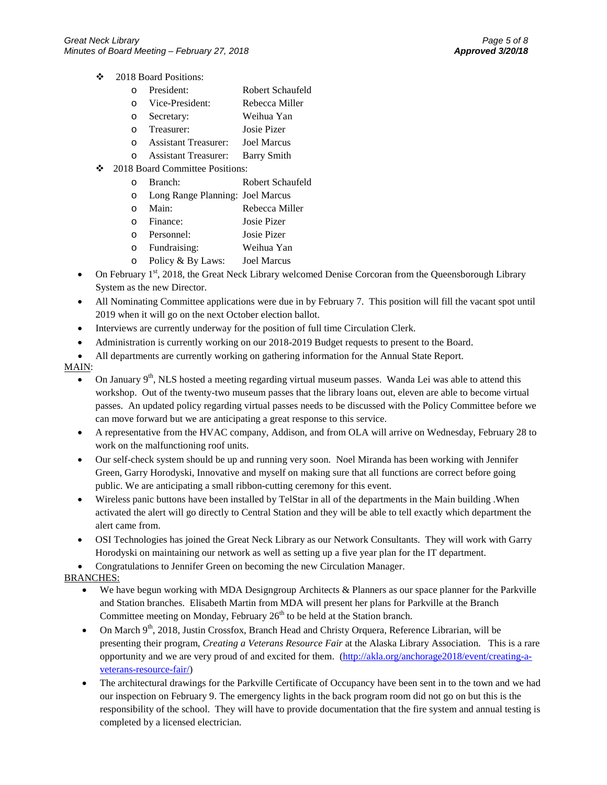- 2018 Board Positions:
	- o President: Robert Schaufeld<br>
	o Vice-President: Rebecca Miller
	- o Vice-President:
	- o Secretary: Weihua Yan
	- o Treasurer: Josie Pizer
	- o Assistant Treasurer:
	- o Assistant Treasurer: Barry Smith
- ❖ 2018 Board Committee Positions:
	- o Branch: Robert Schaufeld
	- o Long Range Planning: Joel Marcus
	- o Main: Rebecca Miller
	- o Finance: Josie Pizer
	- o Personnel: Josie Pizer
	- o Fundraising: Weihua Yan
	- o Policy & By Laws: Joel Marcus
- On February 1<sup>st</sup>, 2018, the Great Neck Library welcomed Denise Corcoran from the Queensborough Library System as the new Director.
- All Nominating Committee applications were due in by February 7. This position will fill the vacant spot until 2019 when it will go on the next October election ballot.
- Interviews are currently underway for the position of full time Circulation Clerk.
- Administration is currently working on our 2018-2019 Budget requests to present to the Board.
- All departments are currently working on gathering information for the Annual State Report.

#### MAIN:

- On January  $9<sup>th</sup>$ , NLS hosted a meeting regarding virtual museum passes. Wanda Lei was able to attend this workshop. Out of the twenty-two museum passes that the library loans out, eleven are able to become virtual passes. An updated policy regarding virtual passes needs to be discussed with the Policy Committee before we can move forward but we are anticipating a great response to this service.
- A representative from the HVAC company, Addison, and from OLA will arrive on Wednesday, February 28 to work on the malfunctioning roof units.
- Our self-check system should be up and running very soon. Noel Miranda has been working with Jennifer Green, Garry Horodyski, Innovative and myself on making sure that all functions are correct before going public. We are anticipating a small ribbon-cutting ceremony for this event.
- Wireless panic buttons have been installed by TelStar in all of the departments in the Main building .When activated the alert will go directly to Central Station and they will be able to tell exactly which department the alert came from.
- OSI Technologies has joined the Great Neck Library as our Network Consultants. They will work with Garry Horodyski on maintaining our network as well as setting up a five year plan for the IT department.
- Congratulations to Jennifer Green on becoming the new Circulation Manager.

#### BRANCHES:

- We have begun working with MDA Designgroup Architects & Planners as our space planner for the Parkville and Station branches. Elisabeth Martin from MDA will present her plans for Parkville at the Branch Committee meeting on Monday, February  $26<sup>th</sup>$  to be held at the Station branch.
- On March 9<sup>th</sup>, 2018, Justin Crossfox, Branch Head and Christy Orquera, Reference Librarian, will be presenting their program, *Creating a Veterans Resource Fair* at the Alaska Library Association. This is a rare opportunity and we are very proud of and excited for them. [\(http://akla.org/anchorage2018/event/creating-a](http://akla.org/anchorage2018/event/creating-a-veterans-resource-fair/)[veterans-resource-fair/\)](http://akla.org/anchorage2018/event/creating-a-veterans-resource-fair/)
- The architectural drawings for the Parkville Certificate of Occupancy have been sent in to the town and we had our inspection on February 9. The emergency lights in the back program room did not go on but this is the responsibility of the school. They will have to provide documentation that the fire system and annual testing is completed by a licensed electrician.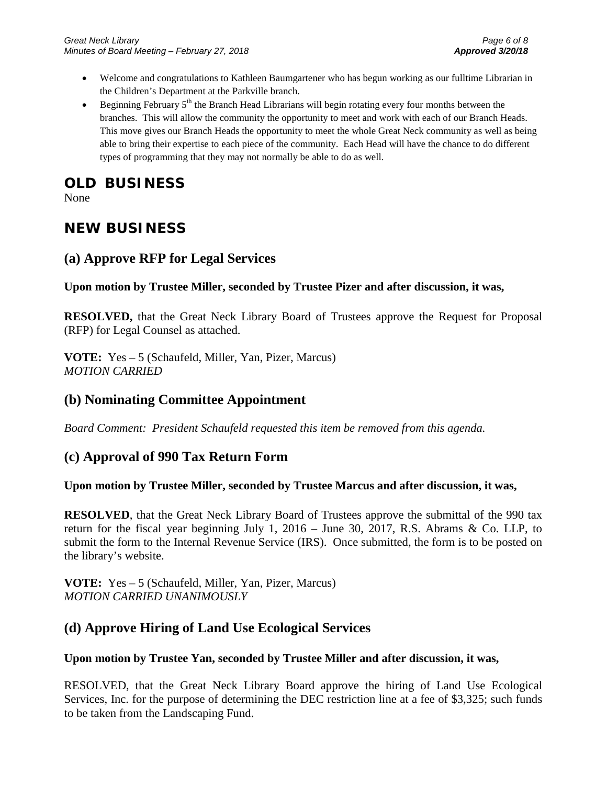- Welcome and congratulations to Kathleen Baumgartener who has begun working as our fulltime Librarian in the Children's Department at the Parkville branch.
- Beginning February  $5<sup>th</sup>$  the Branch Head Librarians will begin rotating every four months between the branches. This will allow the community the opportunity to meet and work with each of our Branch Heads. This move gives our Branch Heads the opportunity to meet the whole Great Neck community as well as being able to bring their expertise to each piece of the community. Each Head will have the chance to do different types of programming that they may not normally be able to do as well.

# **OLD BUSINESS**

None

# **NEW BUSINESS**

## **(a) Approve RFP for Legal Services**

**Upon motion by Trustee Miller, seconded by Trustee Pizer and after discussion, it was,**

**RESOLVED,** that the Great Neck Library Board of Trustees approve the Request for Proposal (RFP) for Legal Counsel as attached.

**VOTE:** Yes – 5 (Schaufeld, Miller, Yan, Pizer, Marcus) *MOTION CARRIED* 

## **(b) Nominating Committee Appointment**

*Board Comment: President Schaufeld requested this item be removed from this agenda.*

## **(c) Approval of 990 Tax Return Form**

## **Upon motion by Trustee Miller, seconded by Trustee Marcus and after discussion, it was,**

**RESOLVED**, that the Great Neck Library Board of Trustees approve the submittal of the 990 tax return for the fiscal year beginning July 1, 2016 – June 30, 2017, R.S. Abrams & Co. LLP, to submit the form to the Internal Revenue Service (IRS). Once submitted, the form is to be posted on the library's website.

**VOTE:** Yes – 5 (Schaufeld, Miller, Yan, Pizer, Marcus) *MOTION CARRIED UNANIMOUSLY* 

## **(d) Approve Hiring of Land Use Ecological Services**

## **Upon motion by Trustee Yan, seconded by Trustee Miller and after discussion, it was,**

RESOLVED, that the Great Neck Library Board approve the hiring of Land Use Ecological Services, Inc. for the purpose of determining the DEC restriction line at a fee of \$3,325; such funds to be taken from the Landscaping Fund.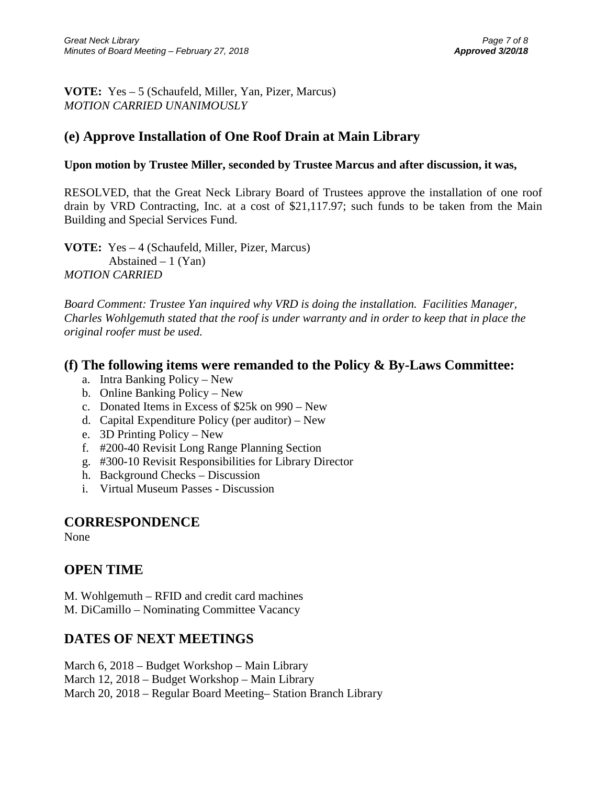**VOTE:** Yes – 5 (Schaufeld, Miller, Yan, Pizer, Marcus) *MOTION CARRIED UNANIMOUSLY*

## **(e) Approve Installation of One Roof Drain at Main Library**

### **Upon motion by Trustee Miller, seconded by Trustee Marcus and after discussion, it was,**

RESOLVED, that the Great Neck Library Board of Trustees approve the installation of one roof drain by VRD Contracting, Inc. at a cost of \$21,117.97; such funds to be taken from the Main Building and Special Services Fund.

**VOTE:** Yes – 4 (Schaufeld, Miller, Pizer, Marcus) Abstained  $-1$  (Yan) *MOTION CARRIED* 

*Board Comment: Trustee Yan inquired why VRD is doing the installation. Facilities Manager, Charles Wohlgemuth stated that the roof is under warranty and in order to keep that in place the original roofer must be used.* 

## **(f) The following items were remanded to the Policy & By-Laws Committee:**

- a. Intra Banking Policy New
- b. Online Banking Policy New
- c. Donated Items in Excess of \$25k on 990 New
- d. Capital Expenditure Policy (per auditor) New
- e. 3D Printing Policy New
- f. #200-40 Revisit Long Range Planning Section
- g. #300-10 Revisit Responsibilities for Library Director
- h. Background Checks Discussion
- i. Virtual Museum Passes Discussion

## **CORRESPONDENCE**

None

## **OPEN TIME**

M. Wohlgemuth – RFID and credit card machines M. DiCamillo – Nominating Committee Vacancy

## **DATES OF NEXT MEETINGS**

March 6, 2018 – Budget Workshop – Main Library March 12, 2018 – Budget Workshop – Main Library March 20, 2018 – Regular Board Meeting– Station Branch Library